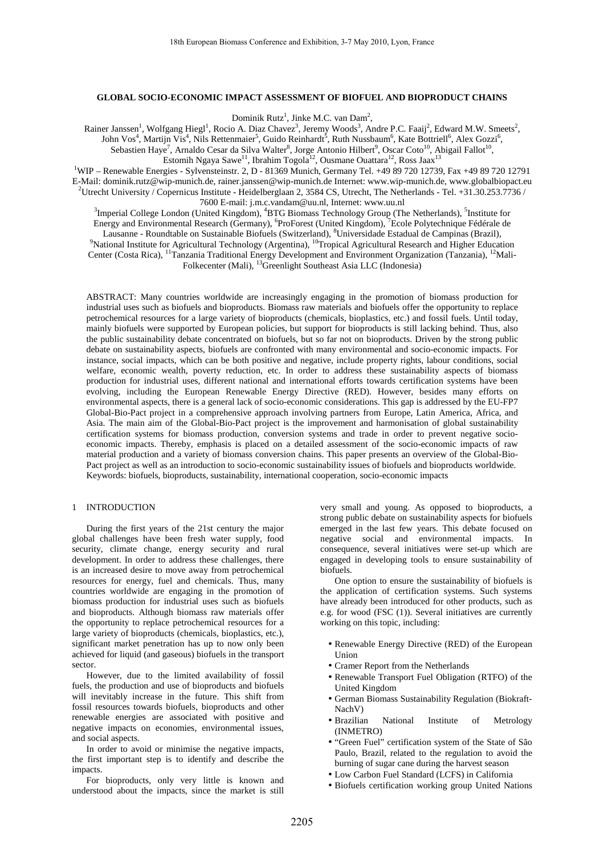# **GLOBAL SOCIO-ECONOMIC IMPACT ASSESSMENT OF BIOFUEL AND BIOPRODUCT CHAINS**

Dominik Rutz<sup>1</sup>, Jinke M.C. van Dam<sup>2</sup>,

Rainer Janssen<sup>1</sup>, Wolfgang Hiegl<sup>1</sup>, Rocio A. Diaz Chavez<sup>3</sup>, Jeremy Woods<sup>3</sup>, Andre P.C. Faaij<sup>2</sup>, Edward M.W. Smeets<sup>2</sup>, John Vos<sup>4</sup>, Martijn Vis<sup>4</sup>, Nils Rettenmaier<sup>5</sup>, Guido Reinhardt<sup>5</sup>, Ruth Nussbaum<sup>6</sup>, Kate Bottriell<sup>6</sup>, Alex Gozzi<sup>6</sup>, Sebastien Haye<sup>7</sup>, Arnaldo Cesar da Silva Walter<sup>8</sup>, Jorge Antonio Hilbert<sup>9</sup>, Oscar Coto<sup>10</sup>, Abigail Fallot<sup>10</sup>, Estomih Ngaya Sawe $^{11}$ , Ibrahim Togola $^{12}$ , Ousmane Ouattara $^{12}$ , Ross Jaax $^{13}$ 

<sup>1</sup>WIP – Renewable Energies - Sylvensteinstr. 2, D - 81369 Munich, Germany Tel. +49 89 720 12739, Fax +49 89 720 12791 E-Mail: dominik.rutz@wip-munich.de, rainer.janssen@wip-munich.de Internet: www.wip-munich.de, www.globalbiopact.eu <sup>2</sup>Utrecht University / Copernicus Institute - Heidelberglaan 2, 3584 CS, Utrecht, The Netherlands - Tel. +31.30.253.7736 / 7600 E-mail: j.m.c.vandam@uu.nl, Internet: www.uu.nl

<sup>3</sup>Imperial College London (United Kingdom), <sup>4</sup>BTG Biomass Technology Group (The Netherlands), <sup>5</sup>Institute for Energy and Environmental Research (Germany), <sup>6</sup>ProForest (United Kingdom), <sup>7</sup>Ecole Polytechnique Fédérale de Lausanne - Roundtable on Sustainable Biofuels (Switzerland), <sup>8</sup>Universidade Estadual de Campinas (Brazil), <sup>9</sup>National Institute for Agricultural Technology (Argentina), <sup>10</sup>Tropical Agricultural Research and Higher Education Center (Costa Rica), <sup>11</sup>Tanzania Traditional Energy Development and Environment Organization (Tanzania), <sup>12</sup>Mali-Folkecenter (Mali), <sup>13</sup>Greenlight Southeast Asia LLC (Indonesia)

ABSTRACT: Many countries worldwide are increasingly engaging in the promotion of biomass production for industrial uses such as biofuels and bioproducts. Biomass raw materials and biofuels offer the opportunity to replace petrochemical resources for a large variety of bioproducts (chemicals, bioplastics, etc.) and fossil fuels. Until today, mainly biofuels were supported by European policies, but support for bioproducts is still lacking behind. Thus, also the public sustainability debate concentrated on biofuels, but so far not on bioproducts. Driven by the strong public debate on sustainability aspects, biofuels are confronted with many environmental and socio-economic impacts. For instance, social impacts, which can be both positive and negative, include property rights, labour conditions, social welfare, economic wealth, poverty reduction, etc. In order to address these sustainability aspects of biomass production for industrial uses, different national and international efforts towards certification systems have been evolving, including the European Renewable Energy Directive (RED). However, besides many efforts on environmental aspects, there is a general lack of socio-economic considerations. This gap is addressed by the EU-FP7 Global-Bio-Pact project in a comprehensive approach involving partners from Europe, Latin America, Africa, and Asia. The main aim of the Global-Bio-Pact project is the improvement and harmonisation of global sustainability certification systems for biomass production, conversion systems and trade in order to prevent negative socioeconomic impacts. Thereby, emphasis is placed on a detailed assessment of the socio-economic impacts of raw material production and a variety of biomass conversion chains. This paper presents an overview of the Global-Bio-Pact project as well as an introduction to socio-economic sustainability issues of biofuels and bioproducts worldwide. Keywords: biofuels, bioproducts, sustainability, international cooperation, socio-economic impacts

## 1 INTRODUCTION

During the first years of the 21st century the major global challenges have been fresh water supply, food security, climate change, energy security and rural development. In order to address these challenges, there is an increased desire to move away from petrochemical resources for energy, fuel and chemicals. Thus, many countries worldwide are engaging in the promotion of biomass production for industrial uses such as biofuels and bioproducts. Although biomass raw materials offer the opportunity to replace petrochemical resources for a large variety of bioproducts (chemicals, bioplastics, etc.), significant market penetration has up to now only been achieved for liquid (and gaseous) biofuels in the transport sector.

However, due to the limited availability of fossil fuels, the production and use of bioproducts and biofuels will inevitably increase in the future. This shift from fossil resources towards biofuels, bioproducts and other renewable energies are associated with positive and negative impacts on economies, environmental issues, and social aspects.

In order to avoid or minimise the negative impacts, the first important step is to identify and describe the impacts.

For bioproducts, only very little is known and understood about the impacts, since the market is still very small and young. As opposed to bioproducts, a strong public debate on sustainability aspects for biofuels emerged in the last few years. This debate focused on negative social and environmental impacts. In consequence, several initiatives were set-up which are engaged in developing tools to ensure sustainability of biofuels.

One option to ensure the sustainability of biofuels is the application of certification systems. Such systems have already been introduced for other products, such as e.g. for wood (FSC (1)). Several initiatives are currently working on this topic, including:

- Renewable Energy Directive (RED) of the European Union
- Cramer Report from the Netherlands
- Renewable Transport Fuel Obligation (RTFO) of the United Kingdom
- German Biomass Sustainability Regulation (Biokraft-NachV)
- Brazilian National Institute of Metrology (INMETRO)
- "Green Fuel" certification system of the State of São Paulo, Brazil, related to the regulation to avoid the burning of sugar cane during the harvest season
- Low Carbon Fuel Standard (LCFS) in California
- Biofuels certification working group United Nations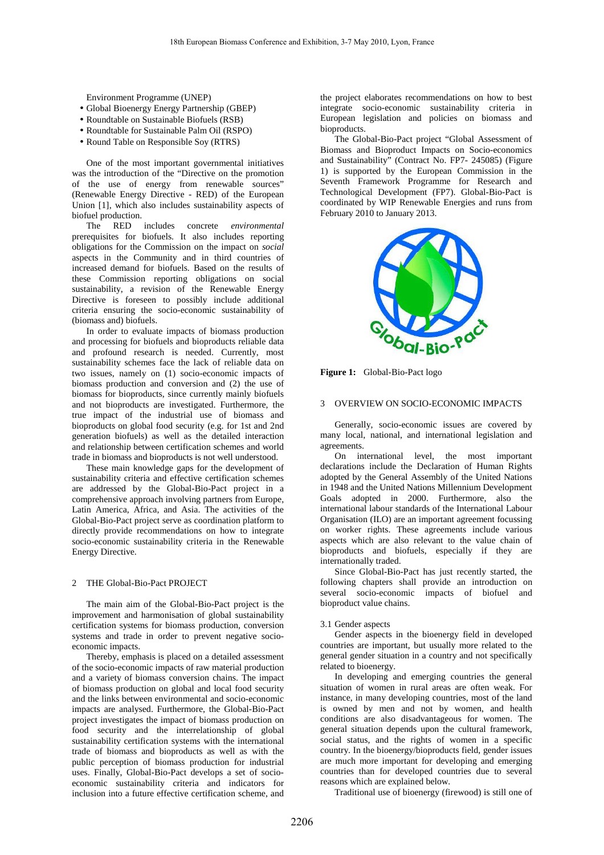Environment Programme (UNEP)

- Global Bioenergy Energy Partnership (GBEP)
- Roundtable on Sustainable Biofuels (RSB)
- Roundtable for Sustainable Palm Oil (RSPO)
- Round Table on Responsible Soy (RTRS)

One of the most important governmental initiatives was the introduction of the "Directive on the promotion of the use of energy from renewable sources" (Renewable Energy Directive - RED) of the European Union [1], which also includes sustainability aspects of biofuel production.

The RED includes concrete *environmental*  prerequisites for biofuels. It also includes reporting obligations for the Commission on the impact on *social*  aspects in the Community and in third countries of increased demand for biofuels. Based on the results of these Commission reporting obligations on social sustainability, a revision of the Renewable Energy Directive is foreseen to possibly include additional criteria ensuring the socio-economic sustainability of (biomass and) biofuels.

In order to evaluate impacts of biomass production and processing for biofuels and bioproducts reliable data and profound research is needed. Currently, most sustainability schemes face the lack of reliable data on two issues, namely on (1) socio-economic impacts of biomass production and conversion and (2) the use of biomass for bioproducts, since currently mainly biofuels and not bioproducts are investigated. Furthermore, the true impact of the industrial use of biomass and bioproducts on global food security (e.g. for 1st and 2nd generation biofuels) as well as the detailed interaction and relationship between certification schemes and world trade in biomass and bioproducts is not well understood.

These main knowledge gaps for the development of sustainability criteria and effective certification schemes are addressed by the Global-Bio-Pact project in a comprehensive approach involving partners from Europe, Latin America, Africa, and Asia. The activities of the Global-Bio-Pact project serve as coordination platform to directly provide recommendations on how to integrate socio-economic sustainability criteria in the Renewable Energy Directive.

## 2 THE Global-Bio-Pact PROJECT

The main aim of the Global-Bio-Pact project is the improvement and harmonisation of global sustainability certification systems for biomass production, conversion systems and trade in order to prevent negative socioeconomic impacts.

Thereby, emphasis is placed on a detailed assessment of the socio-economic impacts of raw material production and a variety of biomass conversion chains. The impact of biomass production on global and local food security and the links between environmental and socio-economic impacts are analysed. Furthermore, the Global-Bio-Pact project investigates the impact of biomass production on food security and the interrelationship of global sustainability certification systems with the international trade of biomass and bioproducts as well as with the public perception of biomass production for industrial uses. Finally, Global-Bio-Pact develops a set of socioeconomic sustainability criteria and indicators for inclusion into a future effective certification scheme, and the project elaborates recommendations on how to best integrate socio-economic sustainability criteria in European legislation and policies on biomass and bioproducts.

The Global-Bio-Pact project "Global Assessment of Biomass and Bioproduct Impacts on Socio-economics and Sustainability" (Contract No. FP7- 245085) (Figure 1) is supported by the European Commission in the Seventh Framework Programme for Research and Technological Development (FP7). Global-Bio-Pact is coordinated by WIP Renewable Energies and runs from February 2010 to January 2013.



**Figure 1:** Global-Bio-Pact logo

# 3 OVERVIEW ON SOCIO-ECONOMIC IMPACTS

Generally, socio-economic issues are covered by many local, national, and international legislation and agreements.

On international level, the most important declarations include the Declaration of Human Rights adopted by the General Assembly of the United Nations in 1948 and the United Nations Millennium Development Goals adopted in 2000. Furthermore, also the international labour standards of the International Labour Organisation (ILO) are an important agreement focussing on worker rights. These agreements include various aspects which are also relevant to the value chain of bioproducts and biofuels, especially if they are internationally traded.

Since Global-Bio-Pact has just recently started, the following chapters shall provide an introduction on several socio-economic impacts of biofuel and bioproduct value chains.

#### 3.1 Gender aspects

Gender aspects in the bioenergy field in developed countries are important, but usually more related to the general gender situation in a country and not specifically related to bioenergy.

In developing and emerging countries the general situation of women in rural areas are often weak. For instance, in many developing countries, most of the land is owned by men and not by women, and health conditions are also disadvantageous for women. The general situation depends upon the cultural framework, social status, and the rights of women in a specific country. In the bioenergy/bioproducts field, gender issues are much more important for developing and emerging countries than for developed countries due to several reasons which are explained below.

Traditional use of bioenergy (firewood) is still one of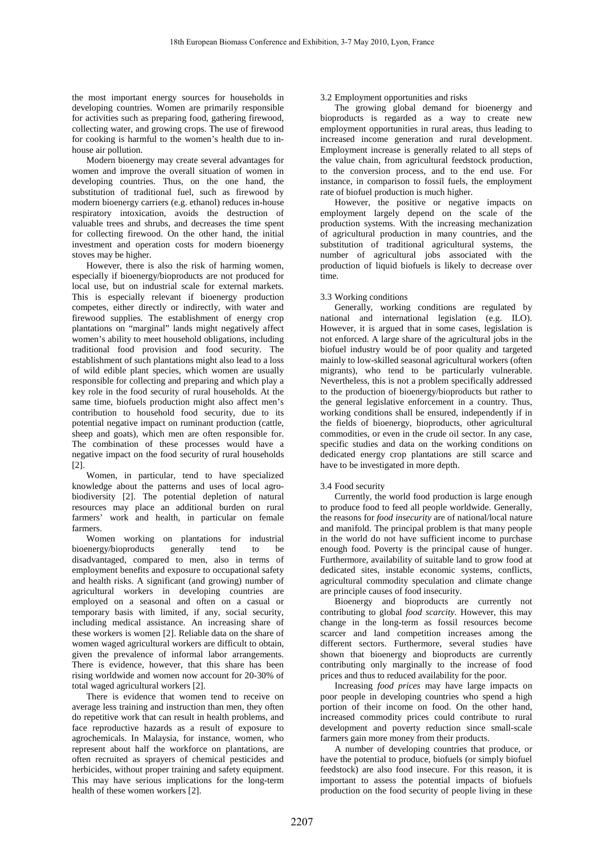the most important energy sources for households in developing countries. Women are primarily responsible for activities such as preparing food, gathering firewood, collecting water, and growing crops. The use of firewood for cooking is harmful to the women's health due to inhouse air pollution.

Modern bioenergy may create several advantages for women and improve the overall situation of women in developing countries. Thus, on the one hand, the substitution of traditional fuel, such as firewood by modern bioenergy carriers (e.g. ethanol) reduces in-house respiratory intoxication, avoids the destruction of valuable trees and shrubs, and decreases the time spent for collecting firewood. On the other hand, the initial investment and operation costs for modern bioenergy stoves may be higher.

However, there is also the risk of harming women, especially if bioenergy/bioproducts are not produced for local use, but on industrial scale for external markets. This is especially relevant if bioenergy production competes, either directly or indirectly, with water and firewood supplies. The establishment of energy crop plantations on "marginal" lands might negatively affect women's ability to meet household obligations, including traditional food provision and food security. The establishment of such plantations might also lead to a loss of wild edible plant species, which women are usually responsible for collecting and preparing and which play a key role in the food security of rural households. At the same time, biofuels production might also affect men's contribution to household food security, due to its potential negative impact on ruminant production (cattle, sheep and goats), which men are often responsible for. The combination of these processes would have a negative impact on the food security of rural households [2].

Women, in particular, tend to have specialized knowledge about the patterns and uses of local agrobiodiversity [2]. The potential depletion of natural resources may place an additional burden on rural farmers' work and health, in particular on female farmers.

Women working on plantations for industrial bioenergy/bioproducts generally tend to be disadvantaged, compared to men, also in terms of employment benefits and exposure to occupational safety and health risks. A significant (and growing) number of agricultural workers in developing countries are employed on a seasonal and often on a casual or temporary basis with limited, if any, social security, including medical assistance. An increasing share of these workers is women [2]. Reliable data on the share of women waged agricultural workers are difficult to obtain, given the prevalence of informal labor arrangements. There is evidence, however, that this share has been rising worldwide and women now account for 20-30% of total waged agricultural workers [2].

There is evidence that women tend to receive on average less training and instruction than men, they often do repetitive work that can result in health problems, and face reproductive hazards as a result of exposure to agrochemicals. In Malaysia, for instance, women, who represent about half the workforce on plantations, are often recruited as sprayers of chemical pesticides and herbicides, without proper training and safety equipment. This may have serious implications for the long-term health of these women workers [2].

# 3.2 Employment opportunities and risks

The growing global demand for bioenergy and bioproducts is regarded as a way to create new employment opportunities in rural areas, thus leading to increased income generation and rural development. Employment increase is generally related to all steps of the value chain, from agricultural feedstock production, to the conversion process, and to the end use. For instance, in comparison to fossil fuels, the employment rate of biofuel production is much higher.

However, the positive or negative impacts on employment largely depend on the scale of the production systems. With the increasing mechanization of agricultural production in many countries, and the substitution of traditional agricultural systems, the number of agricultural jobs associated with the production of liquid biofuels is likely to decrease over time.

# 3.3 Working conditions

Generally, working conditions are regulated by national and international legislation (e.g. ILO). However, it is argued that in some cases, legislation is not enforced. A large share of the agricultural jobs in the biofuel industry would be of poor quality and targeted mainly to low-skilled seasonal agricultural workers (often migrants), who tend to be particularly vulnerable. Nevertheless, this is not a problem specifically addressed to the production of bioenergy/bioproducts but rather to the general legislative enforcement in a country. Thus, working conditions shall be ensured, independently if in the fields of bioenergy, bioproducts, other agricultural commodities, or even in the crude oil sector. In any case, specific studies and data on the working conditions on dedicated energy crop plantations are still scarce and have to be investigated in more depth.

# 3.4 Food security

Currently, the world food production is large enough to produce food to feed all people worldwide. Generally, the reasons for *food insecurity* are of national/local nature and manifold. The principal problem is that many people in the world do not have sufficient income to purchase enough food. Poverty is the principal cause of hunger. Furthermore, availability of suitable land to grow food at dedicated sites, instable economic systems, conflicts, agricultural commodity speculation and climate change are principle causes of food insecurity.

Bioenergy and bioproducts are currently not contributing to global *food scarcity*. However, this may change in the long-term as fossil resources become scarcer and land competition increases among the different sectors. Furthermore, several studies have shown that bioenergy and bioproducts are currently contributing only marginally to the increase of food prices and thus to reduced availability for the poor.

Increasing *food prices* may have large impacts on poor people in developing countries who spend a high portion of their income on food. On the other hand, increased commodity prices could contribute to rural development and poverty reduction since small-scale farmers gain more money from their products.

A number of developing countries that produce, or have the potential to produce, biofuels (or simply biofuel feedstock) are also food insecure. For this reason, it is important to assess the potential impacts of biofuels production on the food security of people living in these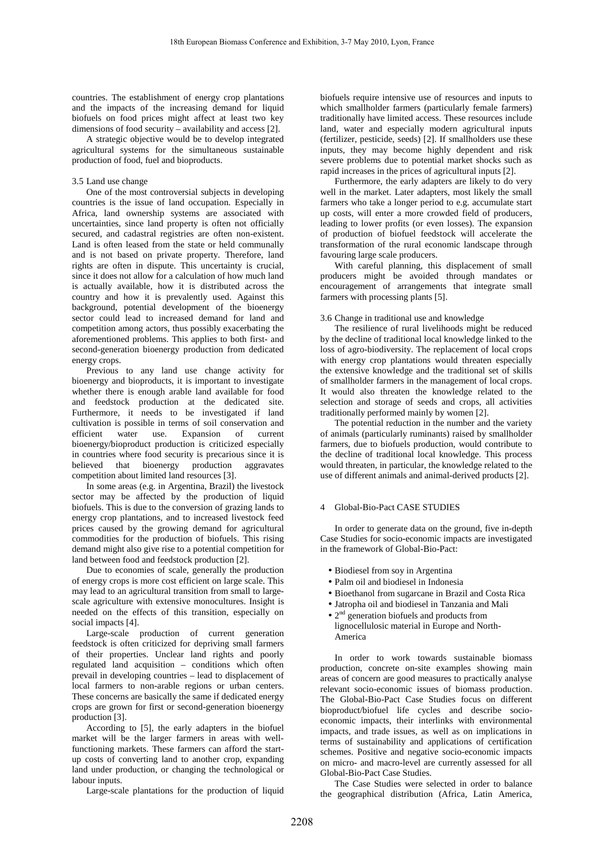countries. The establishment of energy crop plantations and the impacts of the increasing demand for liquid biofuels on food prices might affect at least two key dimensions of food security – availability and access [2].

A strategic objective would be to develop integrated agricultural systems for the simultaneous sustainable production of food, fuel and bioproducts.

### 3.5 Land use change

One of the most controversial subjects in developing countries is the issue of land occupation. Especially in Africa, land ownership systems are associated with uncertainties, since land property is often not officially secured, and cadastral registries are often non-existent. Land is often leased from the state or held communally and is not based on private property. Therefore, land rights are often in dispute. This uncertainty is crucial, since it does not allow for a calculation of how much land is actually available, how it is distributed across the country and how it is prevalently used. Against this background, potential development of the bioenergy sector could lead to increased demand for land and competition among actors, thus possibly exacerbating the aforementioned problems. This applies to both first- and second-generation bioenergy production from dedicated energy crops.

Previous to any land use change activity for bioenergy and bioproducts, it is important to investigate whether there is enough arable land available for food and feedstock production at the dedicated site. Furthermore, it needs to be investigated if land cultivation is possible in terms of soil conservation and efficient water use. Expansion of current bioenergy/bioproduct production is criticized especially in countries where food security is precarious since it is believed that bioenergy production aggravates competition about limited land resources [3].

In some areas (e.g. in Argentina, Brazil) the livestock sector may be affected by the production of liquid biofuels. This is due to the conversion of grazing lands to energy crop plantations, and to increased livestock feed prices caused by the growing demand for agricultural commodities for the production of biofuels. This rising demand might also give rise to a potential competition for land between food and feedstock production [2].

Due to economies of scale, generally the production of energy crops is more cost efficient on large scale. This may lead to an agricultural transition from small to largescale agriculture with extensive monocultures. Insight is needed on the effects of this transition, especially on social impacts [4].

Large-scale production of current generation feedstock is often criticized for depriving small farmers of their properties. Unclear land rights and poorly regulated land acquisition – conditions which often prevail in developing countries – lead to displacement of local farmers to non-arable regions or urban centers. These concerns are basically the same if dedicated energy crops are grown for first or second-generation bioenergy production [3].

According to [5], the early adapters in the biofuel market will be the larger farmers in areas with wellfunctioning markets. These farmers can afford the startup costs of converting land to another crop, expanding land under production, or changing the technological or labour inputs.

Large-scale plantations for the production of liquid

biofuels require intensive use of resources and inputs to which smallholder farmers (particularly female farmers) traditionally have limited access. These resources include land, water and especially modern agricultural inputs (fertilizer, pesticide, seeds) [2]. If smallholders use these inputs, they may become highly dependent and risk severe problems due to potential market shocks such as rapid increases in the prices of agricultural inputs [2].

Furthermore, the early adapters are likely to do very well in the market. Later adapters, most likely the small farmers who take a longer period to e.g. accumulate start up costs, will enter a more crowded field of producers, leading to lower profits (or even losses). The expansion of production of biofuel feedstock will accelerate the transformation of the rural economic landscape through favouring large scale producers.

With careful planning, this displacement of small producers might be avoided through mandates or encouragement of arrangements that integrate small farmers with processing plants [5].

## 3.6 Change in traditional use and knowledge

The resilience of rural livelihoods might be reduced by the decline of traditional local knowledge linked to the loss of agro-biodiversity. The replacement of local crops with energy crop plantations would threaten especially the extensive knowledge and the traditional set of skills of smallholder farmers in the management of local crops. It would also threaten the knowledge related to the selection and storage of seeds and crops, all activities traditionally performed mainly by women [2].

The potential reduction in the number and the variety of animals (particularly ruminants) raised by smallholder farmers, due to biofuels production, would contribute to the decline of traditional local knowledge. This process would threaten, in particular, the knowledge related to the use of different animals and animal-derived products [2].

## 4 Global-Bio-Pact CASE STUDIES

In order to generate data on the ground, five in-depth Case Studies for socio-economic impacts are investigated in the framework of Global-Bio-Pact:

- Biodiesel from soy in Argentina
- Palm oil and biodiesel in Indonesia
- Bioethanol from sugarcane in Brazil and Costa Rica
- Jatropha oil and biodiesel in Tanzania and Mali
- $\bullet$  2<sup>nd</sup> generation biofuels and products from
- lignocellulosic material in Europe and North-America

In order to work towards sustainable biomass production, concrete on-site examples showing main areas of concern are good measures to practically analyse relevant socio-economic issues of biomass production. The Global-Bio-Pact Case Studies focus on different bioproduct/biofuel life cycles and describe socioeconomic impacts, their interlinks with environmental impacts, and trade issues, as well as on implications in terms of sustainability and applications of certification schemes. Positive and negative socio-economic impacts on micro- and macro-level are currently assessed for all Global-Bio-Pact Case Studies.

The Case Studies were selected in order to balance the geographical distribution (Africa, Latin America,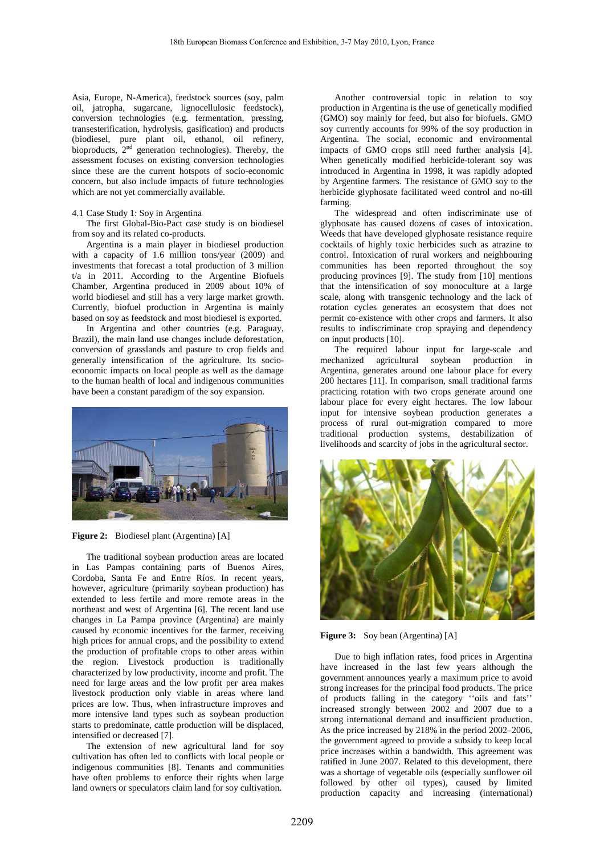Asia, Europe, N-America), feedstock sources (soy, palm oil, jatropha, sugarcane, lignocellulosic feedstock), conversion technologies (e.g. fermentation, pressing, transesterification, hydrolysis, gasification) and products (biodiesel, pure plant oil, ethanol, oil refinery, bioproducts, 2<sup>nd</sup> generation technologies). Thereby, the assessment focuses on existing conversion technologies since these are the current hotspots of socio-economic concern, but also include impacts of future technologies which are not yet commercially available.

#### 4.1 Case Study 1: Soy in Argentina

The first Global-Bio-Pact case study is on biodiesel from soy and its related co-products.

Argentina is a main player in biodiesel production with a capacity of 1.6 million tons/year (2009) and investments that forecast a total production of 3 million t/a in 2011. According to the Argentine Biofuels Chamber, Argentina produced in 2009 about 10% of world biodiesel and still has a very large market growth. Currently, biofuel production in Argentina is mainly based on soy as feedstock and most biodiesel is exported.

In Argentina and other countries (e.g. Paraguay, Brazil), the main land use changes include deforestation, conversion of grasslands and pasture to crop fields and generally intensification of the agriculture. Its socioeconomic impacts on local people as well as the damage to the human health of local and indigenous communities have been a constant paradigm of the soy expansion.



#### **Figure 2:** Biodiesel plant (Argentina) [A]

The traditional soybean production areas are located in Las Pampas containing parts of Buenos Aires, Cordoba, Santa Fe and Entre Ríos. In recent years, however, agriculture (primarily soybean production) has extended to less fertile and more remote areas in the northeast and west of Argentina [6]. The recent land use changes in La Pampa province (Argentina) are mainly caused by economic incentives for the farmer, receiving high prices for annual crops, and the possibility to extend the production of profitable crops to other areas within the region. Livestock production is traditionally characterized by low productivity, income and profit. The need for large areas and the low profit per area makes livestock production only viable in areas where land prices are low. Thus, when infrastructure improves and more intensive land types such as soybean production starts to predominate, cattle production will be displaced, intensified or decreased [7].

The extension of new agricultural land for soy cultivation has often led to conflicts with local people or indigenous communities [8]. Tenants and communities have often problems to enforce their rights when large land owners or speculators claim land for soy cultivation.

Another controversial topic in relation to soy production in Argentina is the use of genetically modified (GMO) soy mainly for feed, but also for biofuels. GMO soy currently accounts for 99% of the soy production in Argentina. The social, economic and environmental impacts of GMO crops still need further analysis [4]. When genetically modified herbicide-tolerant soy was introduced in Argentina in 1998, it was rapidly adopted by Argentine farmers. The resistance of GMO soy to the herbicide glyphosate facilitated weed control and no-till farming.

The widespread and often indiscriminate use of glyphosate has caused dozens of cases of intoxication. Weeds that have developed glyphosate resistance require cocktails of highly toxic herbicides such as atrazine to control. Intoxication of rural workers and neighbouring communities has been reported throughout the soy producing provinces [9]. The study from [10] mentions that the intensification of soy monoculture at a large scale, along with transgenic technology and the lack of rotation cycles generates an ecosystem that does not permit co-existence with other crops and farmers. It also results to indiscriminate crop spraying and dependency on input products [10].

The required labour input for large-scale and mechanized agricultural soybean production in Argentina, generates around one labour place for every 200 hectares [11]. In comparison, small traditional farms practicing rotation with two crops generate around one labour place for every eight hectares. The low labour input for intensive soybean production generates a process of rural out-migration compared to more traditional production systems, destabilization of livelihoods and scarcity of jobs in the agricultural sector.



**Figure 3:** Soy bean (Argentina) [A]

Due to high inflation rates, food prices in Argentina have increased in the last few years although the government announces yearly a maximum price to avoid strong increases for the principal food products. The price of products falling in the category ''oils and fats'' increased strongly between 2002 and 2007 due to a strong international demand and insufficient production. As the price increased by 218% in the period 2002–2006, the government agreed to provide a subsidy to keep local price increases within a bandwidth. This agreement was ratified in June 2007. Related to this development, there was a shortage of vegetable oils (especially sunflower oil followed by other oil types), caused by limited production capacity and increasing (international)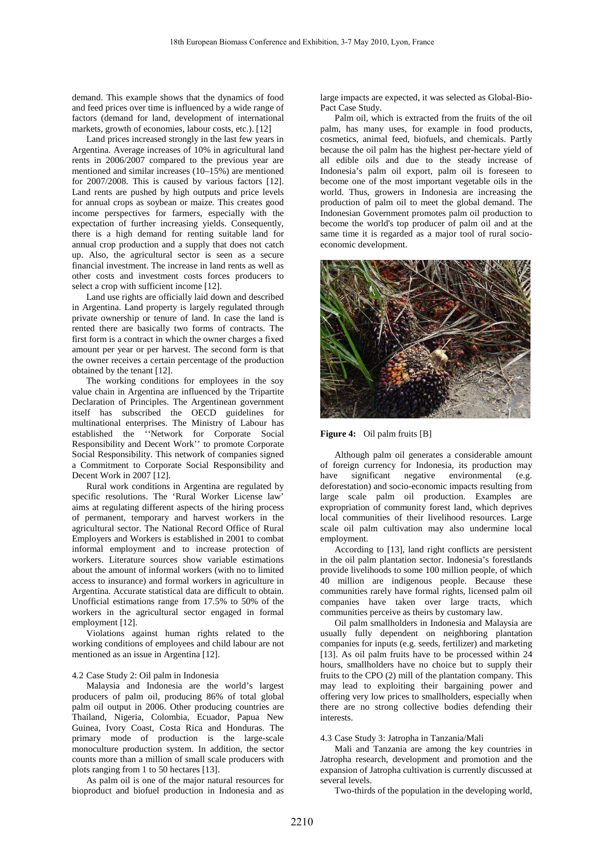demand. This example shows that the dynamics of food and feed prices over time is influenced by a wide range of factors (demand for land, development of international markets, growth of economies, labour costs, etc.). [12]

Land prices increased strongly in the last few years in Argentina. Average increases of 10% in agricultural land rents in 2006/2007 compared to the previous year are mentioned and similar increases (10–15%) are mentioned for 2007/2008. This is caused by various factors [12]. Land rents are pushed by high outputs and price levels for annual crops as soybean or maize. This creates good income perspectives for farmers, especially with the expectation of further increasing yields. Consequently, there is a high demand for renting suitable land for annual crop production and a supply that does not catch up. Also, the agricultural sector is seen as a secure financial investment. The increase in land rents as well as other costs and investment costs forces producers to select a crop with sufficient income [12].

Land use rights are officially laid down and described in Argentina. Land property is largely regulated through private ownership or tenure of land. In case the land is rented there are basically two forms of contracts. The first form is a contract in which the owner charges a fixed amount per year or per harvest. The second form is that the owner receives a certain percentage of the production obtained by the tenant [12].

The working conditions for employees in the soy value chain in Argentina are influenced by the Tripartite Declaration of Principles. The Argentinean government itself has subscribed the OECD guidelines for multinational enterprises. The Ministry of Labour has established the ''Network for Corporate Social Responsibility and Decent Work'' to promote Corporate Social Responsibility. This network of companies signed a Commitment to Corporate Social Responsibility and Decent Work in 2007 [12].

Rural work conditions in Argentina are regulated by specific resolutions. The 'Rural Worker License law' aims at regulating different aspects of the hiring process of permanent, temporary and harvest workers in the agricultural sector. The National Record Office of Rural Employers and Workers is established in 2001 to combat informal employment and to increase protection of workers. Literature sources show variable estimations about the amount of informal workers (with no to limited access to insurance) and formal workers in agriculture in Argentina. Accurate statistical data are difficult to obtain. Unofficial estimations range from 17.5% to 50% of the workers in the agricultural sector engaged in formal employment [12].

Violations against human rights related to the working conditions of employees and child labour are not mentioned as an issue in Argentina [12].

## 4.2 Case Study 2: Oil palm in Indonesia

Malaysia and Indonesia are the world's largest producers of palm oil, producing 86% of total global palm oil output in 2006. Other producing countries are Thailand, Nigeria, Colombia, Ecuador, Papua New Guinea, Ivory Coast, Costa Rica and Honduras. The primary mode of production is the large-scale monoculture production system. In addition, the sector counts more than a million of small scale producers with plots ranging from 1 to 50 hectares [13].

As palm oil is one of the major natural resources for bioproduct and biofuel production in Indonesia and as large impacts are expected, it was selected as Global-Bio-Pact Case Study.

Palm oil, which is extracted from the fruits of the oil palm, has many uses, for example in food products, cosmetics, animal feed, biofuels, and chemicals. Partly because the oil palm has the highest per-hectare yield of all edible oils and due to the steady increase of Indonesia's palm oil export, palm oil is foreseen to become one of the most important vegetable oils in the world. Thus, growers in Indonesia are increasing the production of palm oil to meet the global demand. The Indonesian Government promotes palm oil production to become the world's top producer of palm oil and at the same time it is regarded as a major tool of rural socioeconomic development.



## **Figure 4:** Oil palm fruits [B]

Although palm oil generates a considerable amount of foreign currency for Indonesia, its production may have significant negative environmental (e.g. deforestation) and socio-economic impacts resulting from large scale palm oil production. Examples are expropriation of community forest land, which deprives local communities of their livelihood resources. Large scale oil palm cultivation may also undermine local employment.

According to [13], land right conflicts are persistent in the oil palm plantation sector. Indonesia's forestlands provide livelihoods to some 100 million people, of which 40 million are indigenous people. Because these communities rarely have formal rights, licensed palm oil companies have taken over large tracts, which communities perceive as theirs by customary law.

Oil palm smallholders in Indonesia and Malaysia are usually fully dependent on neighboring plantation companies for inputs (e.g. seeds, fertilizer) and marketing [13]. As oil palm fruits have to be processed within 24 hours, smallholders have no choice but to supply their fruits to the CPO (2) mill of the plantation company. This may lead to exploiting their bargaining power and offering very low prices to smallholders, especially when there are no strong collective bodies defending their interests.

#### 4.3 Case Study 3: Jatropha in Tanzania/Mali

Mali and Tanzania are among the key countries in Jatropha research, development and promotion and the expansion of Jatropha cultivation is currently discussed at several levels.

Two-thirds of the population in the developing world,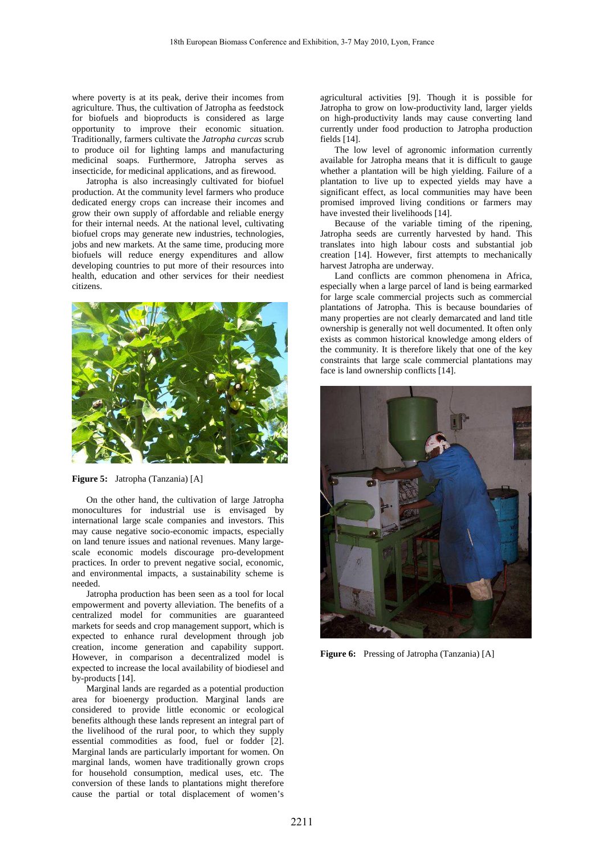where poverty is at its peak, derive their incomes from agriculture. Thus, the cultivation of Jatropha as feedstock for biofuels and bioproducts is considered as large opportunity to improve their economic situation. Traditionally, farmers cultivate the *Jatropha curcas* scrub to produce oil for lighting lamps and manufacturing medicinal soaps. Furthermore, Jatropha serves as insecticide, for medicinal applications, and as firewood.

Jatropha is also increasingly cultivated for biofuel production. At the community level farmers who produce dedicated energy crops can increase their incomes and grow their own supply of affordable and reliable energy for their internal needs. At the national level, cultivating biofuel crops may generate new industries, technologies, jobs and new markets. At the same time, producing more biofuels will reduce energy expenditures and allow developing countries to put more of their resources into health, education and other services for their neediest citizens.



**Figure 5:** Jatropha (Tanzania) [A]

On the other hand, the cultivation of large Jatropha monocultures for industrial use is envisaged by international large scale companies and investors. This may cause negative socio-economic impacts, especially on land tenure issues and national revenues. Many largescale economic models discourage pro-development practices. In order to prevent negative social, economic, and environmental impacts, a sustainability scheme is needed.

Jatropha production has been seen as a tool for local empowerment and poverty alleviation. The benefits of a centralized model for communities are guaranteed markets for seeds and crop management support, which is expected to enhance rural development through job creation, income generation and capability support. However, in comparison a decentralized model is expected to increase the local availability of biodiesel and by-products [14].

Marginal lands are regarded as a potential production area for bioenergy production. Marginal lands are considered to provide little economic or ecological benefits although these lands represent an integral part of the livelihood of the rural poor, to which they supply essential commodities as food, fuel or fodder [2]. Marginal lands are particularly important for women. On marginal lands, women have traditionally grown crops for household consumption, medical uses, etc. The conversion of these lands to plantations might therefore cause the partial or total displacement of women's agricultural activities [9]. Though it is possible for Jatropha to grow on low-productivity land, larger yields on high-productivity lands may cause converting land currently under food production to Jatropha production fields [14].

The low level of agronomic information currently available for Jatropha means that it is difficult to gauge whether a plantation will be high yielding. Failure of a plantation to live up to expected yields may have a significant effect, as local communities may have been promised improved living conditions or farmers may have invested their livelihoods [14].

Because of the variable timing of the ripening, Jatropha seeds are currently harvested by hand. This translates into high labour costs and substantial job creation [14]. However, first attempts to mechanically harvest Jatropha are underway.

Land conflicts are common phenomena in Africa, especially when a large parcel of land is being earmarked for large scale commercial projects such as commercial plantations of Jatropha. This is because boundaries of many properties are not clearly demarcated and land title ownership is generally not well documented. It often only exists as common historical knowledge among elders of the community. It is therefore likely that one of the key constraints that large scale commercial plantations may face is land ownership conflicts [14].



**Figure 6:** Pressing of Jatropha (Tanzania) [A]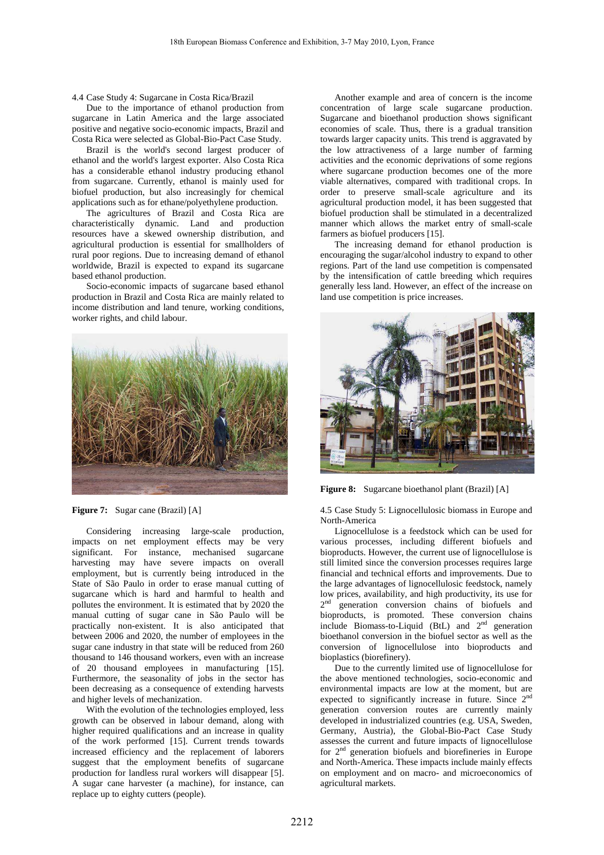4.4 Case Study 4: Sugarcane in Costa Rica/Brazil

Due to the importance of ethanol production from sugarcane in Latin America and the large associated positive and negative socio-economic impacts, Brazil and Costa Rica were selected as Global-Bio-Pact Case Study.

Brazil is the world's second largest producer of ethanol and the world's largest exporter. Also Costa Rica has a considerable ethanol industry producing ethanol from sugarcane. Currently, ethanol is mainly used for biofuel production, but also increasingly for chemical applications such as for ethane/polyethylene production.

The agricultures of Brazil and Costa Rica are characteristically dynamic. Land and production resources have a skewed ownership distribution, and agricultural production is essential for smallholders of rural poor regions. Due to increasing demand of ethanol worldwide, Brazil is expected to expand its sugarcane based ethanol production.

Socio-economic impacts of sugarcane based ethanol production in Brazil and Costa Rica are mainly related to income distribution and land tenure, working conditions, worker rights, and child labour.



**Figure 7:** Sugar cane (Brazil) [A]

Considering increasing large-scale production, impacts on net employment effects may be very significant. For instance, mechanised sugarcane harvesting may have severe impacts on overall employment, but is currently being introduced in the State of São Paulo in order to erase manual cutting of sugarcane which is hard and harmful to health and pollutes the environment. It is estimated that by 2020 the manual cutting of sugar cane in São Paulo will be practically non-existent. It is also anticipated that between 2006 and 2020, the number of employees in the sugar cane industry in that state will be reduced from 260 thousand to 146 thousand workers, even with an increase of 20 thousand employees in manufacturing [15]. Furthermore, the seasonality of jobs in the sector has been decreasing as a consequence of extending harvests and higher levels of mechanization.

With the evolution of the technologies employed, less growth can be observed in labour demand, along with higher required qualifications and an increase in quality of the work performed [15]. Current trends towards increased efficiency and the replacement of laborers suggest that the employment benefits of sugarcane production for landless rural workers will disappear [5]. A sugar cane harvester (a machine), for instance, can replace up to eighty cutters (people).

Another example and area of concern is the income concentration of large scale sugarcane production. Sugarcane and bioethanol production shows significant economies of scale. Thus, there is a gradual transition towards larger capacity units. This trend is aggravated by the low attractiveness of a large number of farming activities and the economic deprivations of some regions where sugarcane production becomes one of the more viable alternatives, compared with traditional crops. In order to preserve small-scale agriculture and its agricultural production model, it has been suggested that biofuel production shall be stimulated in a decentralized manner which allows the market entry of small-scale farmers as biofuel producers [15].

The increasing demand for ethanol production is encouraging the sugar/alcohol industry to expand to other regions. Part of the land use competition is compensated by the intensification of cattle breeding which requires generally less land. However, an effect of the increase on land use competition is price increases.



**Figure 8:** Sugarcane bioethanol plant (Brazil) [A]

4.5 Case Study 5: Lignocellulosic biomass in Europe and North-America

Lignocellulose is a feedstock which can be used for various processes, including different biofuels and bioproducts. However, the current use of lignocellulose is still limited since the conversion processes requires large financial and technical efforts and improvements. Due to the large advantages of lignocellulosic feedstock, namely low prices, availability, and high productivity, its use for 2<sup>nd</sup> generation conversion chains of biofuels and bioproducts, is promoted. These conversion chains include Biomass-to-Liquid (BtL) and  $2<sup>nd</sup>$  generation bioethanol conversion in the biofuel sector as well as the conversion of lignocellulose into bioproducts and bioplastics (biorefinery).

Due to the currently limited use of lignocellulose for the above mentioned technologies, socio-economic and environmental impacts are low at the moment, but are expected to significantly increase in future. Since 2nd generation conversion routes are currently mainly developed in industrialized countries (e.g. USA, Sweden, Germany, Austria), the Global-Bio-Pact Case Study assesses the current and future impacts of lignocellulose for  $2<sup>nd</sup>$  generation biofuels and biorefineries in Europe and North-America. These impacts include mainly effects on employment and on macro- and microeconomics of agricultural markets.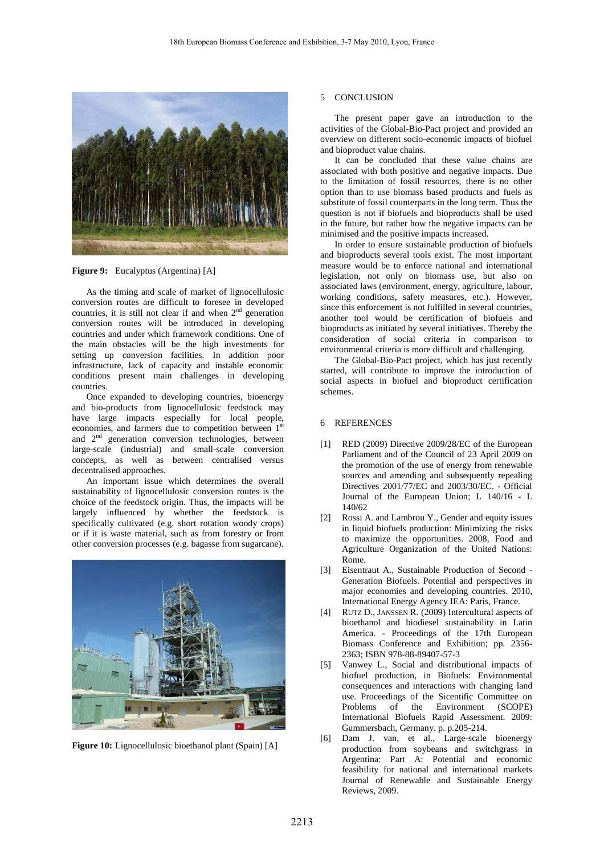

**Figure 9:** Eucalyptus (Argentina) [A]

As the timing and scale of market of lignocellulosic conversion routes are difficult to foresee in developed countries, it is still not clear if and when  $2<sup>nd</sup>$  generation conversion routes will be introduced in developing countries and under which framework conditions. One of the main obstacles will be the high investments for setting up conversion facilities. In addition poor infrastructure, lack of capacity and instable economic conditions present main challenges in developing countries.

Once expanded to developing countries, bioenergy and bio-products from lignocellulosic feedstock may have large impacts especially for local people, economies, and farmers due to competition between 1<sup>st</sup> and 2<sup>nd</sup> generation conversion technologies, between large-scale (industrial) and small-scale conversion concepts, as well as between centralised versus decentralised approaches.

An important issue which determines the overall sustainability of lignocellulosic conversion routes is the choice of the feedstock origin. Thus, the impacts will be largely influenced by whether the feedstock is specifically cultivated (e.g. short rotation woody crops) or if it is waste material, such as from forestry or from other conversion processes (e.g. bagasse from sugarcane).



**Figure 10:** Lignocellulosic bioethanol plant (Spain) [A]

### 5 CONCLUSION

The present paper gave an introduction to the activities of the Global-Bio-Pact project and provided an overview on different socio-economic impacts of biofuel and bioproduct value chains.

It can be concluded that these value chains are associated with both positive and negative impacts. Due to the limitation of fossil resources, there is no other option than to use biomass based products and fuels as substitute of fossil counterparts in the long term. Thus the question is not if biofuels and bioproducts shall be used in the future, but rather how the negative impacts can be minimised and the positive impacts increased.

In order to ensure sustainable production of biofuels and bioproducts several tools exist. The most important measure would be to enforce national and international legislation, not only on biomass use, but also on associated laws (environment, energy, agriculture, labour, working conditions, safety measures, etc.). However, since this enforcement is not fulfilled in several countries, another tool would be certification of biofuels and bioproducts as initiated by several initiatives. Thereby the consideration of social criteria in comparison to environmental criteria is more difficult and challenging.

The Global-Bio-Pact project, which has just recently started, will contribute to improve the introduction of social aspects in biofuel and bioproduct certification schemes.

### 6 REFERENCES

- [1] RED (2009) Directive 2009/28/EC of the European Parliament and of the Council of 23 April 2009 on the promotion of the use of energy from renewable sources and amending and subsequently repealing Directives 2001/77/EC and 2003/30/EC. - Official Journal of the European Union; L 140/16 - L 140/62
- [2] Rossi A. and Lambrou Y., Gender and equity issues in liquid biofuels production: Minimizing the risks to maximize the opportunities. 2008, Food and Agriculture Organization of the United Nations: Rome.
- [3] Eisentraut A., Sustainable Production of Second Generation Biofuels. Potential and perspectives in major economies and developing countries. 2010, International Energy Agency IEA: Paris, France.
- [4] RUTZ D., JANSSEN R. (2009) Intercultural aspects of bioethanol and biodiesel sustainability in Latin America. - Proceedings of the 17th European Biomass Conference and Exhibition; pp. 2356- 2363; ISBN 978-88-89407-57-3
- [5] Vanwey L., Social and distributional impacts of biofuel production, in Biofuels: Environmental consequences and interactions with changing land use. Proceedings of the Sicentific Committee on<br>Problems of the Environment (SCOPE) Problems of the Environment (SCOPE) International Biofuels Rapid Assessment. 2009: Gummersbach, Germany. p. p.205-214.
- [6] Dam J. van, et al., Large-scale bioenergy production from soybeans and switchgrass in Argentina: Part A: Potential and economic feasibility for national and international markets Journal of Renewable and Sustainable Energy Reviews, 2009.